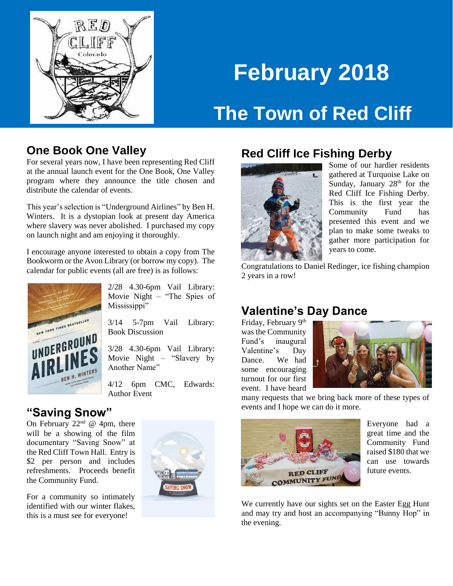

# **February 2018 The Town of Red Cliff**

#### **One Book One Valley**

For several years now, I have been representing Red Cliff at the annual launch event for the One Book, One Valley program where they announce the title chosen and distribute the calendar of events.

This year's selection is "Underground Airlines" by Ben H. Winters. It is a dystopian look at present day America where slavery was never abolished. I purchased my copy on launch night and am enjoying it thoroughly.

I encourage anyone interested to obtain a copy from The Bookworm or the Avon Library (or borrow my copy). The calendar for public events (all are free) is as follows:



2/28 4.30-6pm Vail Library: Movie Night – "The Spies of Mississippi"

3/14 5-7pm Vail Library: Book Discussion

3/28 4.30-6pm Vail Library: Movie Night – "Slavery by Another Name"

4/12 6pm CMC, Edwards: Author Event

#### **"Saving Snow"**

On February  $22<sup>nd</sup>$  @ 4pm, there will be a showing of the film documentary "Saving Snow" at the Red Cliff Town Hall. Entry is \$2 per person and includes refreshments. Proceeds benefit the Community Fund.

For a community so intimately identified with our winter flakes, this is a must see for everyone!



## **Red Cliff Ice Fishing Derby**



Some of our hardier residents gathered at Turquoise Lake on Sunday, January 28<sup>th</sup> for the Red Cliff Ice Fishing Derby. This is the first year the Community Fund has presented this event and we plan to make some tweaks to gather more participation for years to come.

Congratulations to Daniel Redinger, ice fishing champion 2 years in a row!

## **Valentine's Day Dance**

Friday, February 9<sup>th</sup> was the Community Fund's inaugural Valentine's Day Dance. We had some encouraging turnout for our first event. I have heard



many requests that we bring back more of these types of events and I hope we can do it more.



Everyone had a great time and the Community Fund raised \$180 that we can use towards future events.

We currently have our sights set on the Easter Egg Hunt and may try and host an accompanying "Bunny Hop" in the evening.